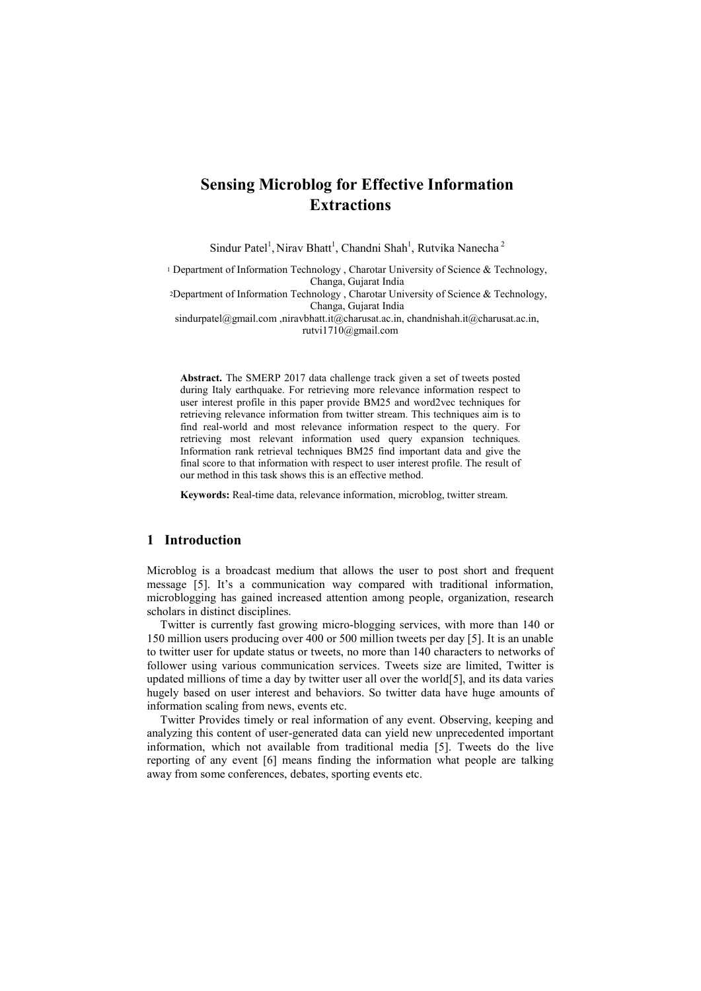# **Sensing Microblog for Effective Information Extractions**

Sindur Patel<sup>1</sup>, Nirav Bhatt<sup>1</sup>, Chandni Shah<sup>1</sup>, Rutvika Nanecha<sup>2</sup>

<sup>1</sup> Department of Information Technology, Charotar University of Science & Technology, Changa, Gujarat India

<sup>2</sup>Department of Information Technology , Charotar University of Science & Technology, Changa, Gujarat India

sindurpatel@gmail.com ,niravbhatt.it@charusat.ac.in, chandnishah.it@charusat.ac.in, [rutvi1710@gmail.com](mailto:rutvi1710@gmail.com)

**Abstract.** The SMERP 2017 data challenge track given a set of tweets posted during Italy earthquake. For retrieving more relevance information respect to user interest profile in this paper provide BM25 and word2vec techniques for retrieving relevance information from twitter stream. This techniques aim is to find real-world and most relevance information respect to the query. For retrieving most relevant information used query expansion techniques. Information rank retrieval techniques BM25 find important data and give the final score to that information with respect to user interest profile. The result of our method in this task shows this is an effective method.

**Keywords:** Real-time data, relevance information, microblog, twitter stream.

# **1 Introduction**

Microblog is a broadcast medium that allows the user to post short and frequent message [5]. It's a communication way compared with traditional information, microblogging has gained increased attention among people, organization, research scholars in distinct disciplines.

Twitter is currently fast growing micro-blogging services, with more than 140 or 150 million users producing over 400 or 500 million tweets per day [5]. It is an unable to twitter user for update status or tweets, no more than 140 characters to networks of follower using various communication services. Tweets size are limited, Twitter is updated millions of time a day by twitter user all over the world[5], and its data varies hugely based on user interest and behaviors. So twitter data have huge amounts of information scaling from news, events etc.

Twitter Provides timely or real information of any event. Observing, keeping and analyzing this content of user-generated data can yield new unprecedented important information, which not available from traditional media [5]. Tweets do the live reporting of any event [6] means finding the information what people are talking away from some conferences, debates, sporting events etc.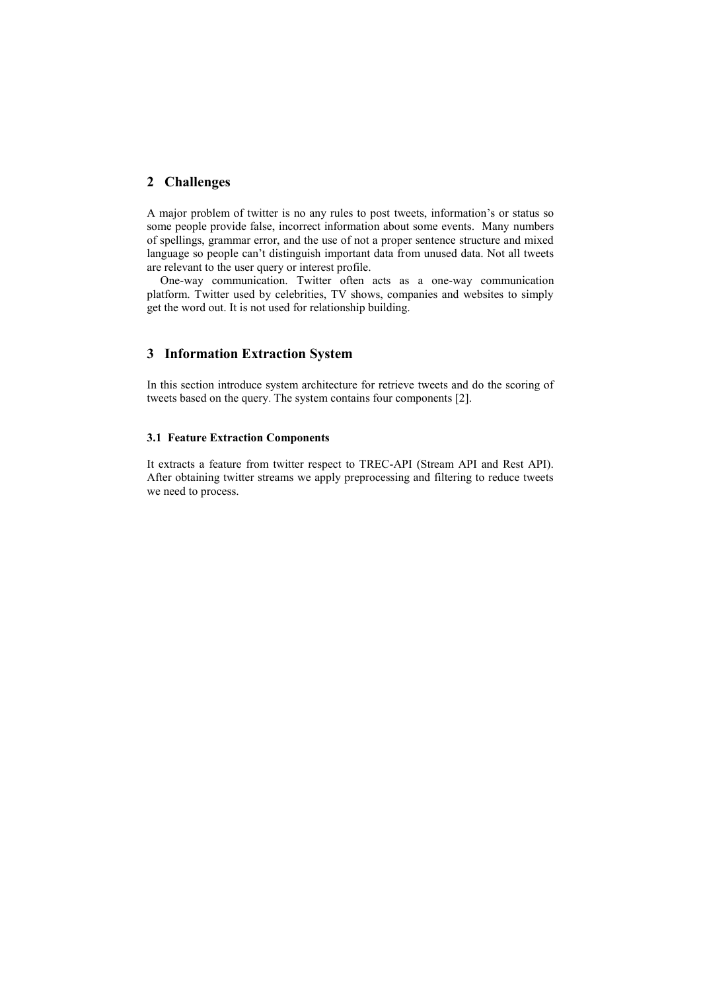# **2 Challenges**

A major problem of twitter is no any rules to post tweets, information's or status so some people provide false, incorrect information about some events. Many numbers of spellings, grammar error, and the use of not a proper sentence structure and mixed language so people can't distinguish important data from unused data. Not all tweets are relevant to the user query or interest profile.

One-way communication. Twitter often acts as a one-way communication platform. Twitter used by celebrities, TV shows, companies and websites to simply get the word out. It is not used for relationship building.

# **3 Information Extraction System**

In this section introduce system architecture for retrieve tweets and do the scoring of tweets based on the query. The system contains four components [2].

#### **3.1 Feature Extraction Components**

It extracts a feature from twitter respect to TREC-API (Stream API and Rest API). After obtaining twitter streams we apply preprocessing and filtering to reduce tweets we need to process.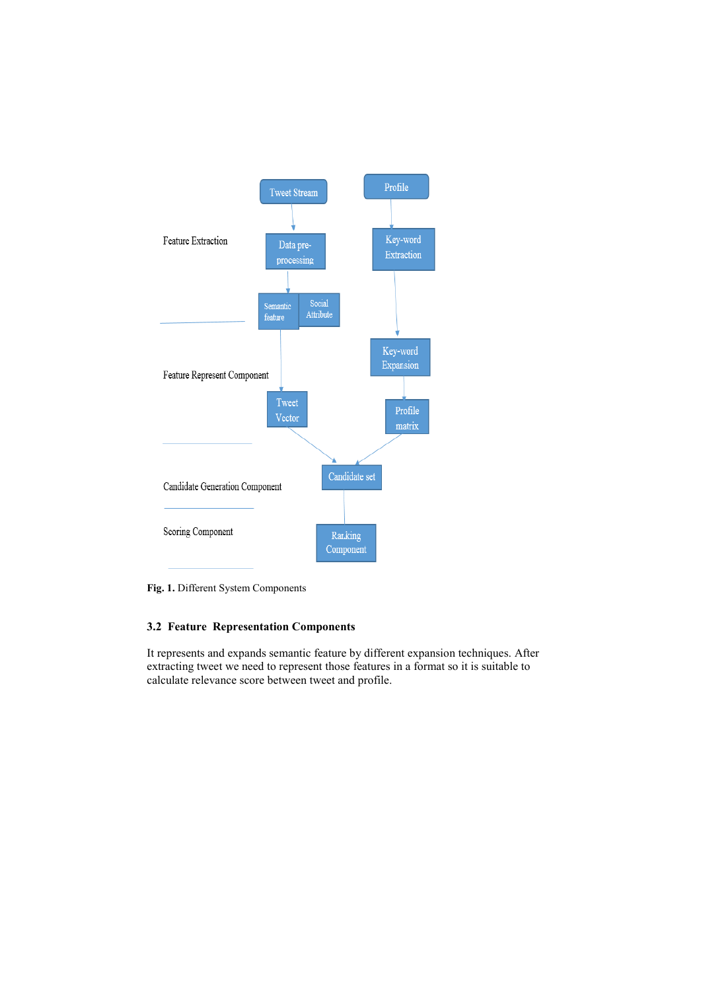

**Fig. 1.** Different System Components

# **3.2 Feature Representation Components**

It represents and expands semantic feature by different expansion techniques. After extracting tweet we need to represent those features in a format so it is suitable to calculate relevance score between tweet and profile.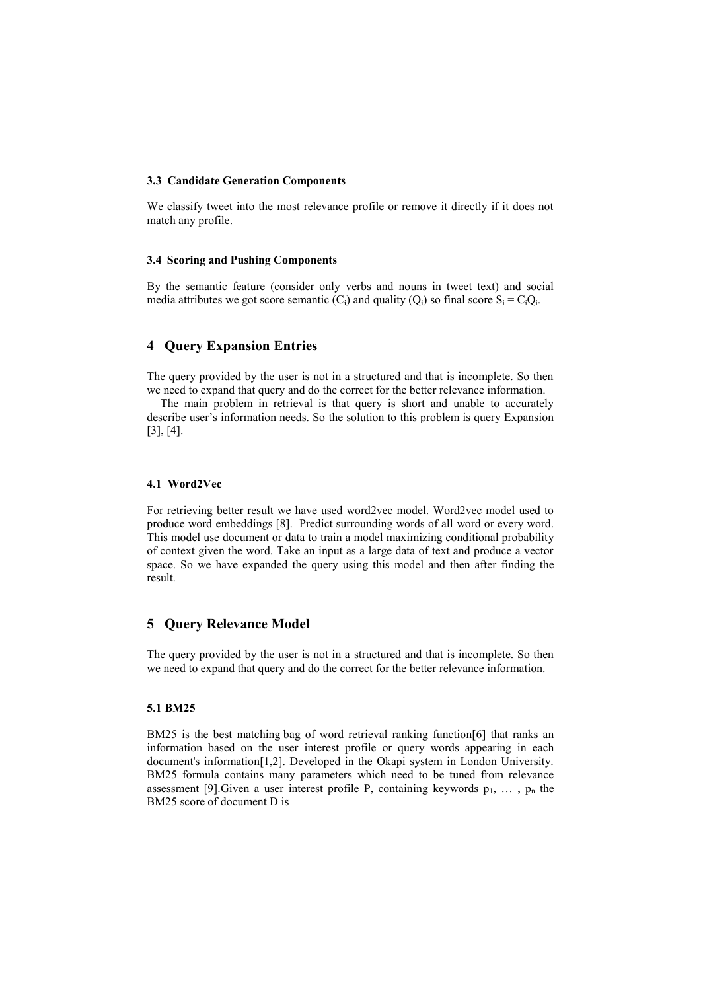#### **3.3 Candidate Generation Components**

We classify tweet into the most relevance profile or remove it directly if it does not match any profile.

#### **3.4 Scoring and Pushing Components**

By the semantic feature (consider only verbs and nouns in tweet text) and social media attributes we got score semantic  $(C_i)$  and quality  $(Q_i)$  so final score  $S_i = C_i Q_i$ .

# **4 Query Expansion Entries**

The query provided by the user is not in a structured and that is incomplete. So then we need to expand that query and do the correct for the better relevance information.

The main problem in retrieval is that query is short and unable to accurately describe user's information needs. So the solution to this problem is query Expansion [3], [4].

#### **4.1 Word2Vec**

For retrieving better result we have used word2vec model. Word2vec model used to produce word embeddings [8]. Predict surrounding words of all word or every word. This model use document or data to train a model maximizing conditional probability of context given the word. Take an input as a large data of text and produce a vector space. So we have expanded the query using this model and then after finding the result.

### **5 Query Relevance Model**

The query provided by the user is not in a structured and that is incomplete. So then we need to expand that query and do the correct for the better relevance information.

#### **5.1 BM25**

BM25 is the best matching bag of word retrieval ranking function[6] that ranks an information based on the user interest profile or query words appearing in each document's information[1,2]. Developed in the Okapi system in London University. BM25 formula contains many parameters which need to be tuned from relevance assessment [9]. Given a user interest profile P, containing keywords  $p_1, \ldots, p_n$  the BM25 score of document D is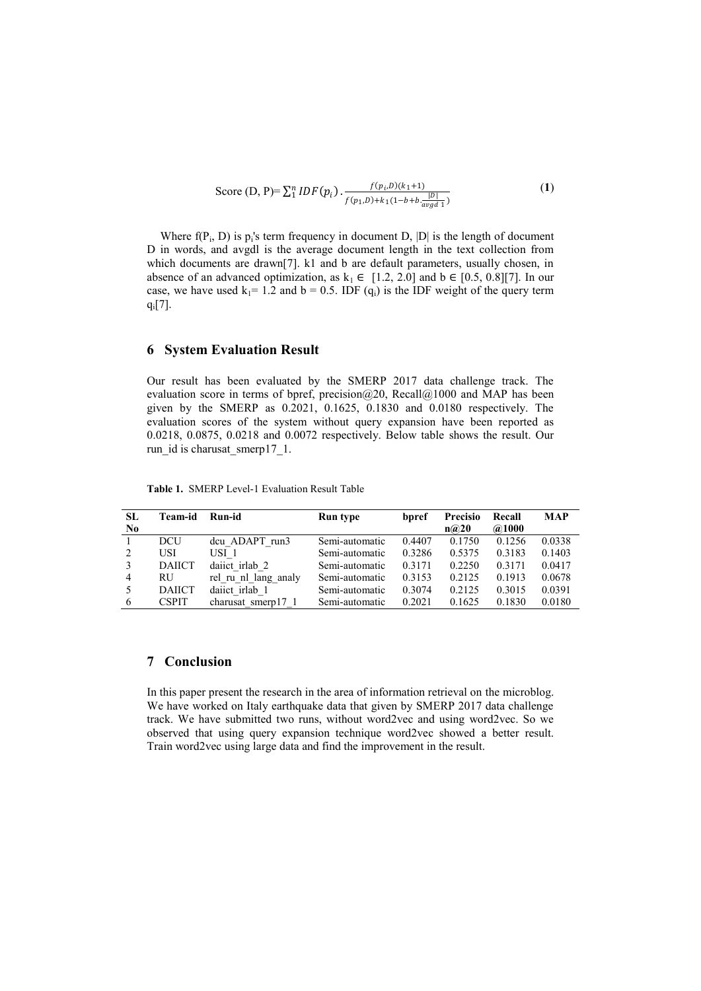Score (D, P)= 
$$
\sum_{1}^{n} IDF(p_i) \cdot \frac{f(p_i, D)(k_1+1)}{f(p_1, D)+k_1(1-b+b \cdot \frac{|D|}{avgd_1})}
$$
 (1)

Where  $f(P_i, D)$  is  $p_i$ 's term frequency in document D,  $|D|$  is the length of document D in words, and avgdl is the average document length in the text collection from which documents are drawn[7]. k1 and b are default parameters, usually chosen, in absence of an advanced optimization, as  $k_1 \in [1.2, 2.0]$  and  $b \in [0.5, 0.8][7]$ . In our case, we have used  $k_1$  = 1.2 and b = 0.5. IDF (q<sub>i</sub>) is the IDF weight of the query term qi[7].

### **6 System Evaluation Result**

Our result has been evaluated by the SMERP 2017 data challenge track. The evaluation score in terms of bpref, precision@20, Recall@1000 and MAP has been given by the SMERP as 0.2021, 0.1625, 0.1830 and 0.0180 respectively. The evaluation scores of the system without query expansion have been reported as 0.0218, 0.0875, 0.0218 and 0.0072 respectively. Below table shows the result. Our run id is charusat smerp17 1.

| SL             | Team-id       | Run-id               | Run type       | bpref  | <b>Precisio</b> | Recall | <b>MAP</b> |
|----------------|---------------|----------------------|----------------|--------|-----------------|--------|------------|
| N <sub>0</sub> |               |                      |                |        | n@20            | @1000  |            |
|                | DCU           | dcu ADAPT run3       | Semi-automatic | 0.4407 | 0.1750          | 0.1256 | 0.0338     |
|                | USI           | USI <sub>1</sub>     | Semi-automatic | 0.3286 | 0.5375          | 0.3183 | 0.1403     |
|                | <b>DAIICT</b> | dailet irlab 2       | Semi-automatic | 0.3171 | 0.2250          | 0.3171 | 0.0417     |
| 4              | RU            | rel ru nl lang analy | Semi-automatic | 0.3153 | 0.2125          | 0.1913 | 0.0678     |
|                | <b>DAIICT</b> | daiict irlab 1       | Semi-automatic | 0.3074 | 0.2125          | 0.3015 | 0.0391     |
| 6              | <b>CSPIT</b>  | charusat smerp17 1   | Semi-automatic | 0.2021 | 0.1625          | 0.1830 | 0.0180     |

**Table 1.** SMERP Level-1 Evaluation Result Table

### **7 Conclusion**

In this paper present the research in the area of information retrieval on the microblog. We have worked on Italy earthquake data that given by SMERP 2017 data challenge track. We have submitted two runs, without word2vec and using word2vec. So we observed that using query expansion technique word2vec showed a better result. Train word2vec using large data and find the improvement in the result.